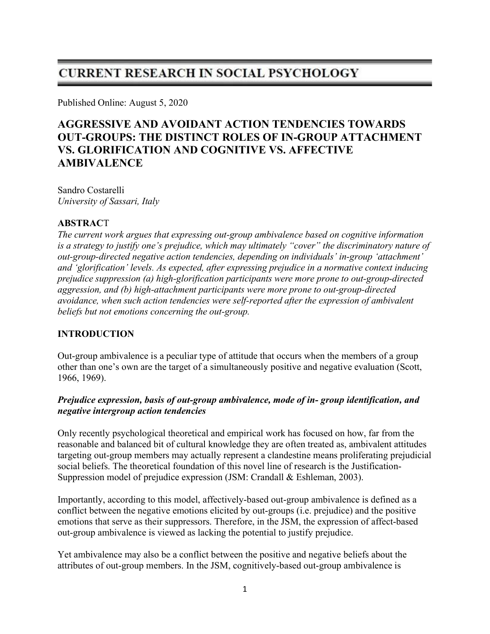# **CURRENT RESEARCH IN SOCIAL PSYCHOLOGY**

Published Online: August 5, 2020

# AGGRESSIVE AND AVOIDANT ACTION TENDENCIES TOWARDS OUT-GROUPS: THE DISTINCT ROLES OF IN-GROUP ATTACHMENT VS. GLORIFICATION AND COGNITIVE VS. AFFECTIVE AMBIVALENCE

Sandro Costarelli University of Sassari, Italy

### ABSTRACT

The current work argues that expressing out-group ambivalence based on cognitive information is a strategy to justify one's prejudice, which may ultimately "cover" the discriminatory nature of out-group-directed negative action tendencies, depending on individuals' in-group 'attachment' and 'glorification' levels. As expected, after expressing prejudice in a normative context inducing prejudice suppression (a) high-glorification participants were more prone to out-group-directed aggression, and (b) high-attachment participants were more prone to out-group-directed avoidance, when such action tendencies were self-reported after the expression of ambivalent beliefs but not emotions concerning the out-group.

## INTRODUCTION

Out-group ambivalence is a peculiar type of attitude that occurs when the members of a group other than one's own are the target of a simultaneously positive and negative evaluation (Scott, 1966, 1969).

### Prejudice expression, basis of out-group ambivalence, mode of in- group identification, and negative intergroup action tendencies

Only recently psychological theoretical and empirical work has focused on how, far from the reasonable and balanced bit of cultural knowledge they are often treated as, ambivalent attitudes targeting out-group members may actually represent a clandestine means proliferating prejudicial social beliefs. The theoretical foundation of this novel line of research is the Justification-Suppression model of prejudice expression (JSM: Crandall & Eshleman, 2003).

Importantly, according to this model, affectively-based out-group ambivalence is defined as a conflict between the negative emotions elicited by out-groups (i.e. prejudice) and the positive emotions that serve as their suppressors. Therefore, in the JSM, the expression of affect-based out-group ambivalence is viewed as lacking the potential to justify prejudice.

Yet ambivalence may also be a conflict between the positive and negative beliefs about the attributes of out-group members. In the JSM, cognitively-based out-group ambivalence is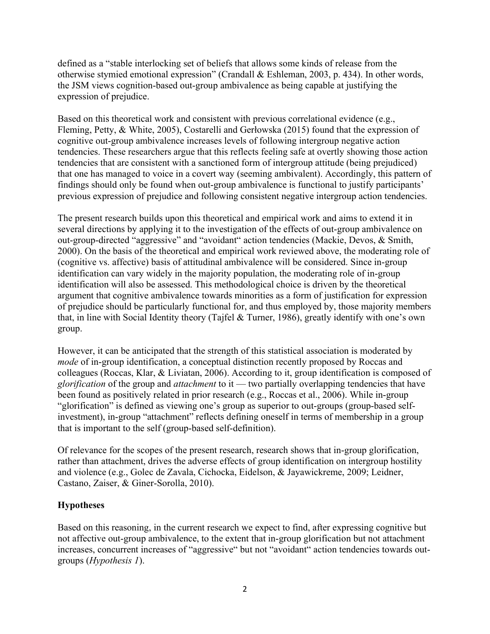defined as a "stable interlocking set of beliefs that allows some kinds of release from the otherwise stymied emotional expression" (Crandall & Eshleman, 2003, p. 434). In other words, the JSM views cognition-based out-group ambivalence as being capable at justifying the expression of prejudice.

Based on this theoretical work and consistent with previous correlational evidence (e.g., Fleming, Petty, & White, 2005), Costarelli and Gerłowska (2015) found that the expression of cognitive out-group ambivalence increases levels of following intergroup negative action tendencies. These researchers argue that this reflects feeling safe at overtly showing those action tendencies that are consistent with a sanctioned form of intergroup attitude (being prejudiced) that one has managed to voice in a covert way (seeming ambivalent). Accordingly, this pattern of findings should only be found when out-group ambivalence is functional to justify participants' previous expression of prejudice and following consistent negative intergroup action tendencies.

The present research builds upon this theoretical and empirical work and aims to extend it in several directions by applying it to the investigation of the effects of out-group ambivalence on out-group-directed "aggressive" and "avoidant" action tendencies (Mackie, Devos, & Smith, 2000). On the basis of the theoretical and empirical work reviewed above, the moderating role of (cognitive vs. affective) basis of attitudinal ambivalence will be considered. Since in-group identification can vary widely in the majority population, the moderating role of in-group identification will also be assessed. This methodological choice is driven by the theoretical argument that cognitive ambivalence towards minorities as a form of justification for expression of prejudice should be particularly functional for, and thus employed by, those majority members that, in line with Social Identity theory (Tajfel & Turner, 1986), greatly identify with one's own group.

However, it can be anticipated that the strength of this statistical association is moderated by mode of in-group identification, a conceptual distinction recently proposed by Roccas and colleagues (Roccas, Klar, & Liviatan, 2006). According to it, group identification is composed of glorification of the group and *attachment* to it — two partially overlapping tendencies that have been found as positively related in prior research (e.g., Roccas et al., 2006). While in-group "glorification" is defined as viewing one's group as superior to out-groups (group-based selfinvestment), in-group "attachment" reflects defining oneself in terms of membership in a group that is important to the self (group-based self-definition).

Of relevance for the scopes of the present research, research shows that in-group glorification, rather than attachment, drives the adverse effects of group identification on intergroup hostility and violence (e.g., Golec de Zavala, Cichocka, Eidelson, & Jayawickreme, 2009; Leidner, Castano, Zaiser, & Giner-Sorolla, 2010).

## Hypotheses

Based on this reasoning, in the current research we expect to find, after expressing cognitive but not affective out-group ambivalence, to the extent that in-group glorification but not attachment increases, concurrent increases of "aggressive" but not "avoidant" action tendencies towards outgroups (Hypothesis 1).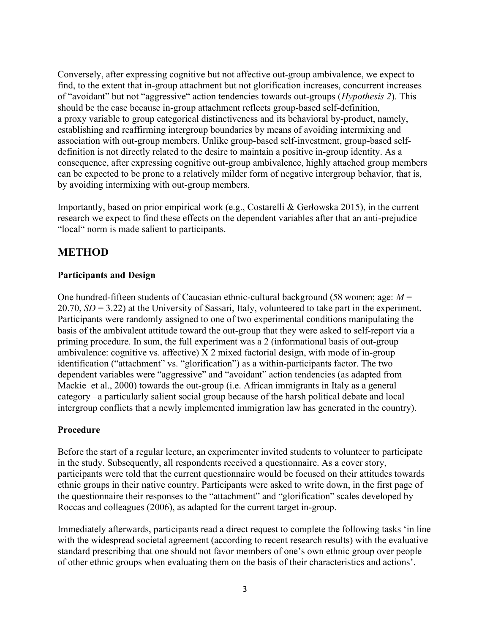Conversely, after expressing cognitive but not affective out-group ambivalence, we expect to find, to the extent that in-group attachment but not glorification increases, concurrent increases of "avoidant" but not "aggressive" action tendencies towards out-groups (Hypothesis 2). This should be the case because in-group attachment reflects group-based self-definition, a proxy variable to group categorical distinctiveness and its behavioral by-product, namely, establishing and reaffirming intergroup boundaries by means of avoiding intermixing and association with out-group members. Unlike group-based self-investment, group-based selfdefinition is not directly related to the desire to maintain a positive in-group identity. As a consequence, after expressing cognitive out-group ambivalence, highly attached group members can be expected to be prone to a relatively milder form of negative intergroup behavior, that is, by avoiding intermixing with out-group members.

Importantly, based on prior empirical work (e.g., Costarelli & Gerłowska 2015), in the current research we expect to find these effects on the dependent variables after that an anti-prejudice "local" norm is made salient to participants.

# METHOD

## Participants and Design

One hundred-fifteen students of Caucasian ethnic-cultural background (58 women; age:  $M =$  $20.70$ ,  $SD = 3.22$ ) at the University of Sassari, Italy, volunteered to take part in the experiment. Participants were randomly assigned to one of two experimental conditions manipulating the basis of the ambivalent attitude toward the out-group that they were asked to self-report via a priming procedure. In sum, the full experiment was a 2 (informational basis of out-group ambivalence: cognitive vs. affective)  $X$  2 mixed factorial design, with mode of in-group identification ("attachment" vs. "glorification") as a within-participants factor. The two dependent variables were "aggressive" and "avoidant" action tendencies (as adapted from Mackie et al., 2000) towards the out-group (i.e. African immigrants in Italy as a general category –a particularly salient social group because of the harsh political debate and local intergroup conflicts that a newly implemented immigration law has generated in the country).

## Procedure

Before the start of a regular lecture, an experimenter invited students to volunteer to participate in the study. Subsequently, all respondents received a questionnaire. As a cover story, participants were told that the current questionnaire would be focused on their attitudes towards ethnic groups in their native country. Participants were asked to write down, in the first page of the questionnaire their responses to the "attachment" and "glorification" scales developed by Roccas and colleagues (2006), as adapted for the current target in-group.

Immediately afterwards, participants read a direct request to complete the following tasks 'in line with the widespread societal agreement (according to recent research results) with the evaluative standard prescribing that one should not favor members of one's own ethnic group over people of other ethnic groups when evaluating them on the basis of their characteristics and actions'.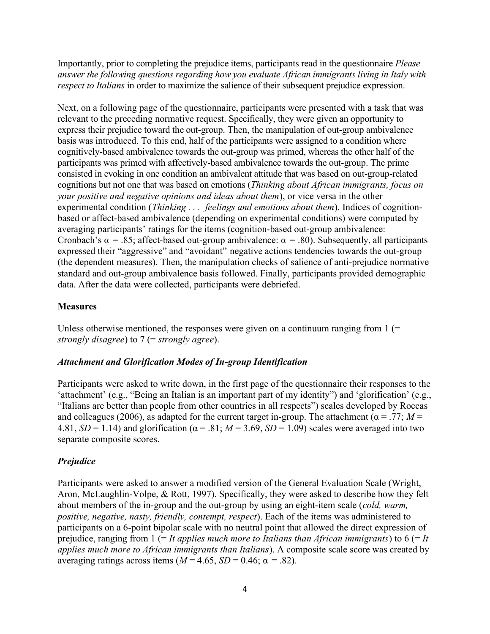Importantly, prior to completing the prejudice items, participants read in the questionnaire Please answer the following questions regarding how you evaluate African immigrants living in Italy with respect to Italians in order to maximize the salience of their subsequent prejudice expression.

Next, on a following page of the questionnaire, participants were presented with a task that was relevant to the preceding normative request. Specifically, they were given an opportunity to express their prejudice toward the out-group. Then, the manipulation of out-group ambivalence basis was introduced. To this end, half of the participants were assigned to a condition where cognitively-based ambivalence towards the out-group was primed, whereas the other half of the participants was primed with affectively-based ambivalence towards the out-group. The prime consisted in evoking in one condition an ambivalent attitude that was based on out-group-related cognitions but not one that was based on emotions (Thinking about African immigrants, focus on your positive and negative opinions and ideas about them), or vice versa in the other experimental condition (Thinking . . . feelings and emotions about them). Indices of cognitionbased or affect-based ambivalence (depending on experimental conditions) were computed by averaging participants' ratings for the items (cognition-based out-group ambivalence: Cronbach's  $\alpha$  = .85; affect-based out-group ambivalence:  $\alpha$  = .80). Subsequently, all participants expressed their "aggressive" and "avoidant" negative actions tendencies towards the out-group (the dependent measures). Then, the manipulation checks of salience of anti-prejudice normative standard and out-group ambivalence basis followed. Finally, participants provided demographic data. After the data were collected, participants were debriefed.

## Measures

Unless otherwise mentioned, the responses were given on a continuum ranging from  $1$  (= strongly disagree) to  $7$  (= strongly agree).

#### Attachment and Glorification Modes of In-group Identification

Participants were asked to write down, in the first page of the questionnaire their responses to the 'attachment' (e.g., "Being an Italian is an important part of my identity") and 'glorification' (e.g., "Italians are better than people from other countries in all respects") scales developed by Roccas and colleagues (2006), as adapted for the current target in-group. The attachment ( $\alpha = .77$ ;  $M =$ 4.81,  $SD = 1.14$ ) and glorification ( $\alpha = .81$ ;  $M = 3.69$ ,  $SD = 1.09$ ) scales were averaged into two separate composite scores.

## Prejudice

Participants were asked to answer a modified version of the General Evaluation Scale (Wright, Aron, McLaughlin-Volpe, & Rott, 1997). Specifically, they were asked to describe how they felt about members of the in-group and the out-group by using an eight-item scale (cold, warm, positive, negative, nasty, friendly, contempt, respect). Each of the items was administered to participants on a 6-point bipolar scale with no neutral point that allowed the direct expression of prejudice, ranging from  $1 (= It$  applies much more to Italians than African immigrants) to  $6 (= It)$ applies much more to African immigrants than Italians). A composite scale score was created by averaging ratings across items ( $M = 4.65$ ,  $SD = 0.46$ ;  $\alpha = .82$ ).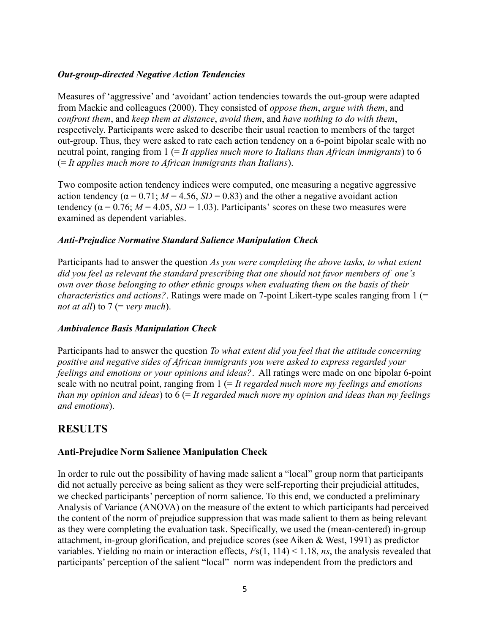#### Out-group-directed Negative Action Tendencies

Measures of 'aggressive' and 'avoidant' action tendencies towards the out-group were adapted from Mackie and colleagues (2000). They consisted of oppose them, argue with them, and confront them, and keep them at distance, avoid them, and have nothing to do with them, respectively. Participants were asked to describe their usual reaction to members of the target out-group. Thus, they were asked to rate each action tendency on a 6-point bipolar scale with no neutral point, ranging from  $1 (= It$  applies much more to Italians than African immigrants) to 6  $(= It applies much more to African imperants than Italians).$ 

Two composite action tendency indices were computed, one measuring a negative aggressive action tendency ( $\alpha = 0.71$ ;  $M = 4.56$ ,  $SD = 0.83$ ) and the other a negative avoidant action tendency ( $\alpha$  = 0.76;  $M$  = 4.05,  $SD$  = 1.03). Participants' scores on these two measures were examined as dependent variables.

#### Anti-Prejudice Normative Standard Salience Manipulation Check

Participants had to answer the question As you were completing the above tasks, to what extent did you feel as relevant the standard prescribing that one should not favor members of one's own over those belonging to other ethnic groups when evaluating them on the basis of their *characteristics and actions?*. Ratings were made on 7-point Likert-type scales ranging from  $1$  (= not at all) to  $7$  (= very much).

#### Ambivalence Basis Manipulation Check

Participants had to answer the question To what extent did you feel that the attitude concerning positive and negative sides of African immigrants you were asked to express regarded your feelings and emotions or your opinions and ideas?. All ratings were made on one bipolar 6-point scale with no neutral point, ranging from  $1 (= It regarded much more my feelings and emotions)$ than my opinion and ideas) to  $6$  (= It regarded much more my opinion and ideas than my feelings and emotions).

## RESULTS

## Anti-Prejudice Norm Salience Manipulation Check

In order to rule out the possibility of having made salient a "local" group norm that participants did not actually perceive as being salient as they were self-reporting their prejudicial attitudes, we checked participants' perception of norm salience. To this end, we conducted a preliminary Analysis of Variance (ANOVA) on the measure of the extent to which participants had perceived the content of the norm of prejudice suppression that was made salient to them as being relevant as they were completing the evaluation task. Specifically, we used the (mean-centered) in-group attachment, in-group glorification, and prejudice scores (see Aiken & West, 1991) as predictor variables. Yielding no main or interaction effects,  $Fs(1, 114) < 1.18$ , ns, the analysis revealed that participants' perception of the salient "local" norm was independent from the predictors and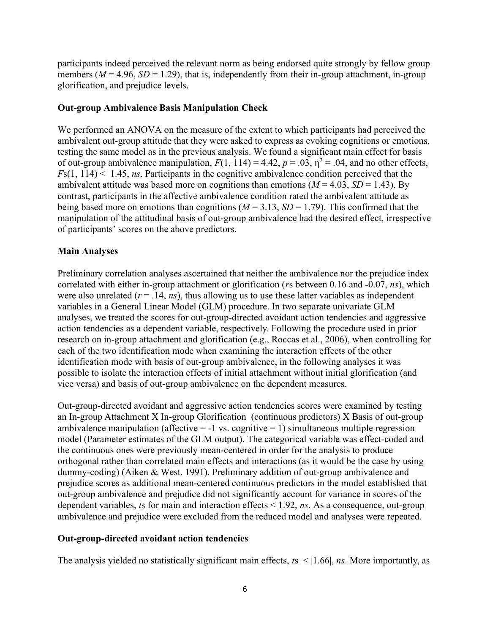participants indeed perceived the relevant norm as being endorsed quite strongly by fellow group members ( $M = 4.96$ ,  $SD = 1.29$ ), that is, independently from their in-group attachment, in-group glorification, and prejudice levels.

#### Out-group Ambivalence Basis Manipulation Check

We performed an ANOVA on the measure of the extent to which participants had perceived the ambivalent out-group attitude that they were asked to express as evoking cognitions or emotions, testing the same model as in the previous analysis. We found a significant main effect for basis of out-group ambivalence manipulation,  $F(1, 114) = 4.42$ ,  $p = .03$ ,  $\eta^2 = .04$ , and no other effects,  $Fs(1, 114) < 1.45$ , ns. Participants in the cognitive ambivalence condition perceived that the ambivalent attitude was based more on cognitions than emotions ( $M = 4.03$ ,  $SD = 1.43$ ). By contrast, participants in the affective ambivalence condition rated the ambivalent attitude as being based more on emotions than cognitions ( $M = 3.13$ ,  $SD = 1.79$ ). This confirmed that the manipulation of the attitudinal basis of out-group ambivalence had the desired effect, irrespective of participants' scores on the above predictors.

#### Main Analyses

Preliminary correlation analyses ascertained that neither the ambivalence nor the prejudice index correlated with either in-group attachment or glorification (rs between 0.16 and -0.07, ns), which were also unrelated ( $r = .14$ ,  $ns$ ), thus allowing us to use these latter variables as independent variables in a General Linear Model (GLM) procedure. In two separate univariate GLM analyses, we treated the scores for out-group-directed avoidant action tendencies and aggressive action tendencies as a dependent variable, respectively. Following the procedure used in prior research on in-group attachment and glorification (e.g., Roccas et al., 2006), when controlling for each of the two identification mode when examining the interaction effects of the other identification mode with basis of out-group ambivalence, in the following analyses it was possible to isolate the interaction effects of initial attachment without initial glorification (and vice versa) and basis of out-group ambivalence on the dependent measures.

Out-group-directed avoidant and aggressive action tendencies scores were examined by testing an In-group Attachment X In-group Glorification (continuous predictors) X Basis of out-group ambivalence manipulation (affective  $= -1$  vs. cognitive  $= 1$ ) simultaneous multiple regression model (Parameter estimates of the GLM output). The categorical variable was effect-coded and the continuous ones were previously mean-centered in order for the analysis to produce orthogonal rather than correlated main effects and interactions (as it would be the case by using dummy-coding) (Aiken & West, 1991). Preliminary addition of out-group ambivalence and prejudice scores as additional mean-centered continuous predictors in the model established that out-group ambivalence and prejudice did not significantly account for variance in scores of the dependent variables, ts for main and interaction effects  $\leq 1.92$ , ns. As a consequence, out-group ambivalence and prejudice were excluded from the reduced model and analyses were repeated.

#### Out-group-directed avoidant action tendencies

The analysis yielded no statistically significant main effects,  $ts \leq |1.66|$ , *ns*. More importantly, as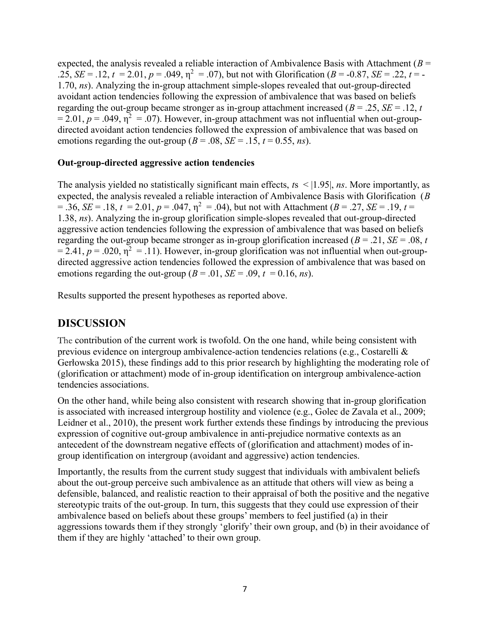expected, the analysis revealed a reliable interaction of Ambivalence Basis with Attachment ( $B =$ .25,  $SE = .12$ ,  $t = 2.01$ ,  $p = .049$ ,  $\eta^2 = .07$ ), but not with Glorification ( $B = .0.87$ ,  $SE = .22$ ,  $t = -$ 1.70, ns). Analyzing the in-group attachment simple-slopes revealed that out-group-directed avoidant action tendencies following the expression of ambivalence that was based on beliefs regarding the out-group became stronger as in-group attachment increased ( $B = .25$ ,  $SE = .12$ , t  $= 2.01, p = .049, \eta^2 = .07$ ). However, in-group attachment was not influential when out-groupdirected avoidant action tendencies followed the expression of ambivalence that was based on emotions regarding the out-group ( $B = .08$ ,  $SE = .15$ ,  $t = 0.55$ , ns).

#### Out-group-directed aggressive action tendencies

The analysis yielded no statistically significant main effects,  $ts$  < |1.95|, *ns*. More importantly, as expected, the analysis revealed a reliable interaction of Ambivalence Basis with Glorification (B  $= .36$ ,  $SE = .18$ ,  $t = 2.01$ ,  $p = .047$ ,  $\eta^2 = .04$ ), but not with Attachment ( $B = .27$ ,  $SE = .19$ ,  $t = .19$ 1.38, ns). Analyzing the in-group glorification simple-slopes revealed that out-group-directed aggressive action tendencies following the expression of ambivalence that was based on beliefs regarding the out-group became stronger as in-group glorification increased ( $B = .21$ ,  $SE = .08$ , t  $= 2.41, p = .020, \eta^2 = .11$ ). However, in-group glorification was not influential when out-groupdirected aggressive action tendencies followed the expression of ambivalence that was based on emotions regarding the out-group ( $B = .01$ ,  $SE = .09$ ,  $t = 0.16$ , ns).

Results supported the present hypotheses as reported above.

## DISCUSSION

The contribution of the current work is twofold. On the one hand, while being consistent with previous evidence on intergroup ambivalence-action tendencies relations (e.g., Costarelli & Gerłowska 2015), these findings add to this prior research by highlighting the moderating role of (glorification or attachment) mode of in-group identification on intergroup ambivalence-action tendencies associations.

On the other hand, while being also consistent with research showing that in-group glorification is associated with increased intergroup hostility and violence (e.g., Golec de Zavala et al., 2009; Leidner et al., 2010), the present work further extends these findings by introducing the previous expression of cognitive out-group ambivalence in anti-prejudice normative contexts as an antecedent of the downstream negative effects of (glorification and attachment) modes of ingroup identification on intergroup (avoidant and aggressive) action tendencies.

Importantly, the results from the current study suggest that individuals with ambivalent beliefs about the out-group perceive such ambivalence as an attitude that others will view as being a defensible, balanced, and realistic reaction to their appraisal of both the positive and the negative stereotypic traits of the out-group. In turn, this suggests that they could use expression of their ambivalence based on beliefs about these groups' members to feel justified (a) in their aggressions towards them if they strongly 'glorify' their own group, and (b) in their avoidance of them if they are highly 'attached' to their own group.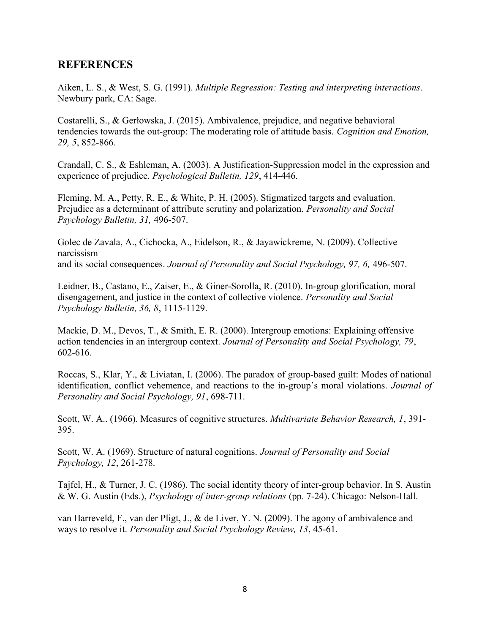## **REFERENCES**

Aiken, L. S., & West, S. G. (1991). Multiple Regression: Testing and interpreting interactions. Newbury park, CA: Sage.

Costarelli, S., & Gerłowska, J. (2015). Ambivalence, prejudice, and negative behavioral tendencies towards the out-group: The moderating role of attitude basis. Cognition and Emotion, 29, 5, 852-866.

Crandall, C. S., & Eshleman, A. (2003). A Justification-Suppression model in the expression and experience of prejudice. Psychological Bulletin, 129, 414-446.

Fleming, M. A., Petty, R. E., & White, P. H. (2005). Stigmatized targets and evaluation. Prejudice as a determinant of attribute scrutiny and polarization. Personality and Social Psychology Bulletin, 31, 496-507.

Golec de Zavala, A., Cichocka, A., Eidelson, R., & Jayawickreme, N. (2009). Collective narcissism and its social consequences. Journal of Personality and Social Psychology, 97, 6, 496-507.

Leidner, B., Castano, E., Zaiser, E., & Giner-Sorolla, R. (2010). In-group glorification, moral disengagement, and justice in the context of collective violence. Personality and Social Psychology Bulletin, 36, 8, 1115-1129.

Mackie, D. M., Devos, T., & Smith, E. R. (2000). Intergroup emotions: Explaining offensive action tendencies in an intergroup context. Journal of Personality and Social Psychology, 79, 602-616.

Roccas, S., Klar, Y., & Liviatan, I. (2006). The paradox of group-based guilt: Modes of national identification, conflict vehemence, and reactions to the in-group's moral violations. Journal of Personality and Social Psychology, 91, 698-711.

Scott, W. A.. (1966). Measures of cognitive structures. *Multivariate Behavior Research*, 1, 391-395.

Scott, W. A. (1969). Structure of natural cognitions. Journal of Personality and Social Psychology, 12, 261-278.

Tajfel, H., & Turner, J. C. (1986). The social identity theory of inter-group behavior. In S. Austin & W. G. Austin (Eds.), Psychology of inter-group relations (pp. 7-24). Chicago: Nelson-Hall.

van Harreveld, F., van der Pligt, J., & de Liver, Y. N. (2009). The agony of ambivalence and ways to resolve it. Personality and Social Psychology Review, 13, 45-61.